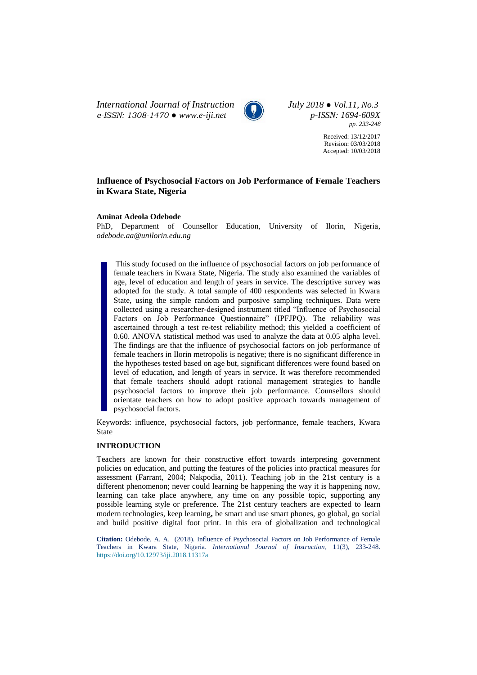*International Journal of Instruction July 2018 ● Vol.11, No.3 e-ISSN: 1308-1470 ● [www.e-iji.net](http://www.e-iji.net/) p-ISSN: 1694-609X*



*pp. 233-248*

Received: 13/12/2017 Revision: 03/03/2018 Accepted: 10/03/2018

# **Influence of Psychosocial Factors on Job Performance of Female Teachers in Kwara State, Nigeria**

## **Aminat Adeola Odebode**

PhD, Department of Counsellor Education, University of Ilorin, Nigeria, *odebode.aa@unilorin.edu.ng*

This study focused on the influence of psychosocial factors on job performance of female teachers in Kwara State, Nigeria. The study also examined the variables of age, level of education and length of years in service. The descriptive survey was adopted for the study. A total sample of 400 respondents was selected in Kwara State, using the simple random and purposive sampling techniques. Data were collected using a researcher-designed instrument titled "Influence of Psychosocial Factors on Job Performance Questionnaire" (IPFJPQ). The reliability was ascertained through a test re-test reliability method; this yielded a coefficient of 0.60. ANOVA statistical method was used to analyze the data at 0.05 alpha level. The findings are that the influence of psychosocial factors on job performance of female teachers in Ilorin metropolis is negative; there is no significant difference in the hypotheses tested based on age but, significant differences were found based on level of education, and length of years in service. It was therefore recommended that female teachers should adopt rational management strategies to handle psychosocial factors to improve their job performance. Counsellors should orientate teachers on how to adopt positive approach towards management of psychosocial factors.

Keywords: influence, psychosocial factors, job performance, female teachers, Kwara State

#### **INTRODUCTION**

Teachers are known for their constructive effort towards interpreting government policies on education, and putting the features of the policies into practical measures for assessment (Farrant, 2004; Nakpodia, 2011). Teaching job in the 21st century is a different phenomenon; never could learning be happening the way it is happening now, learning can take place anywhere, any time on any possible topic, supporting any possible learning style or preference. The 21st century teachers are expected to learn modern technologies, keep learning**,** be smart and use smart phones, go global, go social and build positive digital foot print. In this era of globalization and technological

**Citation:** Odebode, A. A. (2018). Influence of Psychosocial Factors on Job Performance of Female Teachers in Kwara State, Nigeria. *International Journal of Instruction*, 11(3), 233-248. <https://doi.org/10.12973/iji.2018.11317a>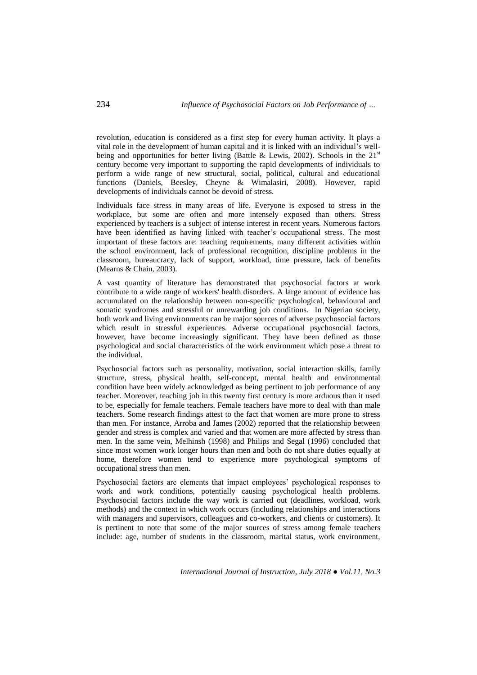revolution, education is considered as a first step for every human activity. It plays a vital role in the development of human capital and it is linked with an individual's wellbeing and opportunities for better living (Battle & Lewis, 2002). Schools in the  $21<sup>st</sup>$ century become very important to supporting the rapid developments of individuals to perform a wide range of new structural, social, political, cultural and educational functions (Daniels, Beesley, Cheyne & Wimalasiri, 2008). However, rapid developments of individuals cannot be devoid of stress.

Individuals face stress in many areas of life. Everyone is exposed to stress in the workplace, but some are often and more intensely exposed than others. Stress experienced by teachers is a subject of intense interest in recent years. Numerous factors have been identified as having linked with teacher's occupational stress. The most important of these factors are: teaching requirements, many different activities within the school environment, lack of professional recognition, discipline problems in the classroom, bureaucracy, lack of support, workload, time pressure, lack of benefits (Mearns & Chain, 2003).

A vast quantity of literature has demonstrated that psychosocial factors at work contribute to a wide range of workers' health disorders. A large amount of evidence has accumulated on the relationship between non-specific psychological, behavioural and somatic syndromes and stressful or unrewarding job conditions. In Nigerian society, both work and living environments can be major sources of adverse psychosocial factors which result in stressful experiences. Adverse occupational psychosocial factors, however, have become increasingly significant. They have been defined as those psychological and social characteristics of the work environment which pose a threat to the individual.

Psychosocial factors such as personality, motivation, social interaction skills, family structure, stress, physical health, self-concept, mental health and environmental condition have been widely acknowledged as being pertinent to job performance of any teacher. Moreover, teaching job in this twenty first century is more arduous than it used to be, especially for female teachers. Female teachers have more to deal with than male teachers. Some research findings attest to the fact that women are more prone to stress than men. For instance, Arroba and James (2002) reported that the relationship between gender and stress is complex and varied and that women are more affected by stress than men. In the same vein, Melhinsh (1998) and Philips and Segal (1996) concluded that since most women work longer hours than men and both do not share duties equally at home, therefore women tend to experience more psychological symptoms of occupational stress than men.

Psychosocial factors are elements that impact employees' psychological responses to work and work conditions, potentially causing psychological health problems. Psychosocial factors include the way work is carried out (deadlines, workload, work methods) and the context in which work occurs (including relationships and interactions with managers and supervisors, colleagues and co-workers, and clients or customers). It is pertinent to note that some of the major sources of stress among female teachers include: age, number of students in the classroom, marital status, work environment,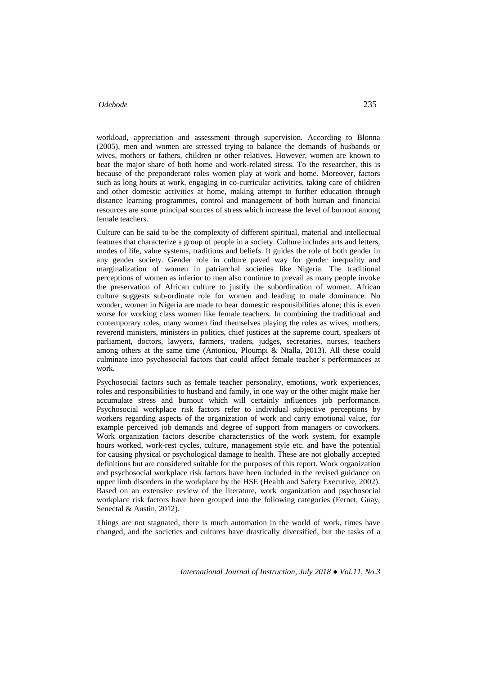workload, appreciation and assessment through supervision. According to Blonna (2005), men and women are stressed trying to balance the demands of husbands or wives, mothers or fathers, children or other relatives. However, women are known to bear the major share of both home and work-related stress. To the researcher, this is because of the preponderant roles women play at work and home. Moreover, factors such as long hours at work, engaging in co-curricular activities, taking care of children and other domestic activities at home, making attempt to further education through distance learning programmes, control and management of both human and financial resources are some principal sources of stress which increase the level of burnout among female teachers.

Culture can be said to be the complexity of different spiritual, material and intellectual features that characterize a group of people in a society. Culture includes arts and letters, modes of life, value systems, traditions and beliefs. It guides the role of both gender in any gender society. Gender role in culture paved way for gender inequality and marginalization of women in patriarchal societies like Nigeria. The traditional perceptions of women as inferior to men also continue to prevail as many people invoke the preservation of African culture to justify the subordination of women. African culture suggests sub-ordinate role for women and leading to male dominance. No wonder, women in Nigeria are made to bear domestic responsibilities alone; this is even worse for working class women like female teachers. In combining the traditional and contemporary roles, many women find themselves playing the roles as wives, mothers, reverend ministers, ministers in politics, chief justices at the supreme court, speakers of parliament, doctors, lawyers, farmers, traders, judges, secretaries, nurses, teachers among others at the same time (Antoniou, Ploumpi & Ntalla, 2013). All these could culminate into psychosocial factors that could affect female teacher's performances at work.

Psychosocial factors such as female teacher personality, emotions, work experiences, roles and responsibilities to husband and family, in one way or the other might make her accumulate stress and burnout which will certainly influences job performance. Psychosocial workplace risk factors refer to individual subjective perceptions by workers regarding aspects of the organization of work and carry emotional value, for example perceived job demands and degree of support from managers or coworkers. Work organization factors describe characteristics of the work system, for example hours worked, work-rest cycles, culture, management style etc. and have the potential for causing physical or psychological damage to health. These are not globally accepted definitions but are considered suitable for the purposes of this report. Work organization and psychosocial workplace risk factors have been included in the revised guidance on upper limb disorders in the workplace by the HSE (Health and Safety Executive, 2002). Based on an extensive review of the literature, work organization and psychosocial workplace risk factors have been grouped into the following categories (Fernet, Guay, Senectal & Austin, 2012).

Things are not stagnated, there is much automation in the world of work, times have changed, and the societies and cultures have drastically diversified, but the tasks of a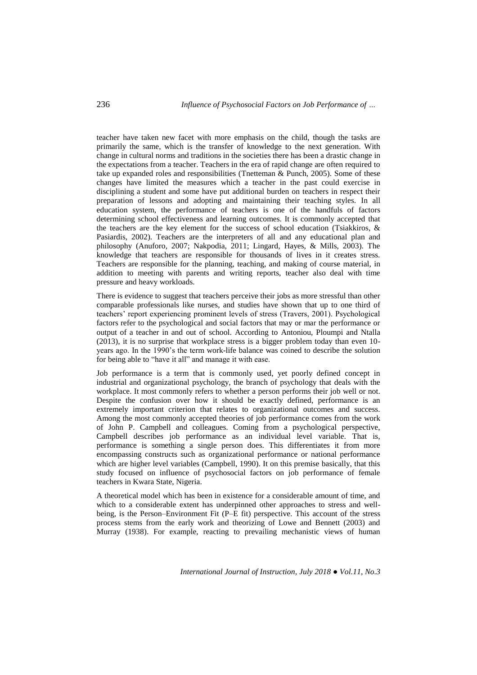teacher have taken new facet with more emphasis on the child, though the tasks are primarily the same, which is the transfer of knowledge to the next generation. With change in cultural norms and traditions in the societies there has been a drastic change in the expectations from a teacher. Teachers in the era of rapid change are often required to take up expanded roles and responsibilities (Tnetteman & Punch, 2005). Some of these changes have limited the measures which a teacher in the past could exercise in disciplining a student and some have put additional burden on teachers in respect their preparation of lessons and adopting and maintaining their teaching styles. In all education system, the performance of teachers is one of the handfuls of factors determining school effectiveness and learning outcomes. It is commonly accepted that the teachers are the key element for the success of school education (Tsiakkiros, & Pasiardis, 2002). Teachers are the interpreters of all and any educational plan and philosophy (Anuforo, 2007; Nakpodia, 2011; Lingard, Hayes, & Mills, 2003). The knowledge that teachers are responsible for thousands of lives in it creates stress. Teachers are responsible for the planning, teaching, and making of course material, in addition to meeting with parents and writing reports, teacher also deal with time pressure and heavy workloads.

There is evidence to suggest that teachers perceive their jobs as more stressful than other comparable professionals like nurses, and studies have shown that up to one third of teachers' report experiencing prominent levels of stress (Travers, 2001). Psychological factors refer to the psychological and social factors that may or mar the performance or output of a teacher in and out of school. According to Antoniou, Ploumpi and Ntalla (2013), it is no surprise that workplace stress is a bigger problem today than even 10 years ago. In the 1990's the term work-life balance was coined to describe the solution for being able to "have it all" and manage it with ease.

Job performance is a term that is commonly used, yet poorly defined concept in industrial and organizational psychology, the branch of psychology that deals with the workplace. It most commonly refers to whether a person performs their job well or not. Despite the confusion over how it should be exactly defined, performance is an extremely important criterion that relates to organizational outcomes and success. Among the most commonly accepted theories of job performance comes from the work of John P. Campbell and colleagues. Coming from a psychological perspective, Campbell describes job performance as an individual level variable. That is, performance is something a single person does. This differentiates it from more encompassing constructs such as organizational performance or national performance which are higher level variables (Campbell, 1990). It on this premise basically, that this study focused on influence of psychosocial factors on job performance of female teachers in Kwara State, Nigeria.

A theoretical model which has been in existence for a considerable amount of time, and which to a considerable extent has underpinned other approaches to stress and wellbeing, is the Person–Environment Fit (P–E fit) perspective. This account of the stress process stems from the early work and theorizing of Lowe and Bennett (2003) and Murray (1938). For example, reacting to prevailing mechanistic views of human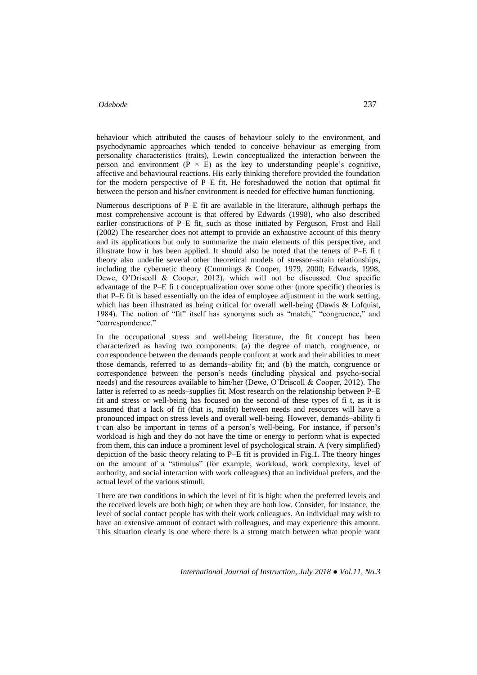behaviour which attributed the causes of behaviour solely to the environment, and psychodynamic approaches which tended to conceive behaviour as emerging from personality characteristics (traits), Lewin conceptualized the interaction between the person and environment ( $P \times E$ ) as the key to understanding people's cognitive, affective and behavioural reactions. His early thinking therefore provided the foundation for the modern perspective of P–E fit. He foreshadowed the notion that optimal fit between the person and his/her environment is needed for effective human functioning.

Numerous descriptions of P–E fit are available in the literature, although perhaps the most comprehensive account is that offered by Edwards (1998), who also described earlier constructions of P–E fit, such as those initiated by Ferguson, Frost and Hall (2002) The researcher does not attempt to provide an exhaustive account of this theory and its applications but only to summarize the main elements of this perspective, and illustrate how it has been applied. It should also be noted that the tenets of P–E fi t theory also underlie several other theoretical models of stressor–strain relationships, including the cybernetic theory (Cummings & Cooper, 1979, 2000; Edwards, 1998, Dewe, O'Driscoll & Cooper, 2012), which will not be discussed. One specific advantage of the P–E fi t conceptualization over some other (more specific) theories is that P–E fit is based essentially on the idea of employee adjustment in the work setting, which has been illustrated as being critical for overall well-being (Dawis & Lofquist, 1984). The notion of "fit" itself has synonyms such as "match," "congruence," and "correspondence."

In the occupational stress and well-being literature, the fit concept has been characterized as having two components: (a) the degree of match, congruence, or correspondence between the demands people confront at work and their abilities to meet those demands, referred to as demands–ability fit; and (b) the match, congruence or correspondence between the person's needs (including physical and psycho-social needs) and the resources available to him/her (Dewe, O'Driscoll & Cooper, 2012). The latter is referred to as needs–supplies fit. Most research on the relationship between P–E fit and stress or well-being has focused on the second of these types of fi t, as it is assumed that a lack of fit (that is, misfit) between needs and resources will have a pronounced impact on stress levels and overall well-being. However, demands–ability fi t can also be important in terms of a person's well-being. For instance, if person's workload is high and they do not have the time or energy to perform what is expected from them, this can induce a prominent level of psychological strain. A (very simplified) depiction of the basic theory relating to P–E fit is provided in Fig.1. The theory hinges on the amount of a "stimulus" (for example, workload, work complexity, level of authority, and social interaction with work colleagues) that an individual prefers, and the actual level of the various stimuli.

There are two conditions in which the level of fit is high: when the preferred levels and the received levels are both high; or when they are both low. Consider, for instance, the level of social contact people has with their work colleagues. An individual may wish to have an extensive amount of contact with colleagues, and may experience this amount. This situation clearly is one where there is a strong match between what people want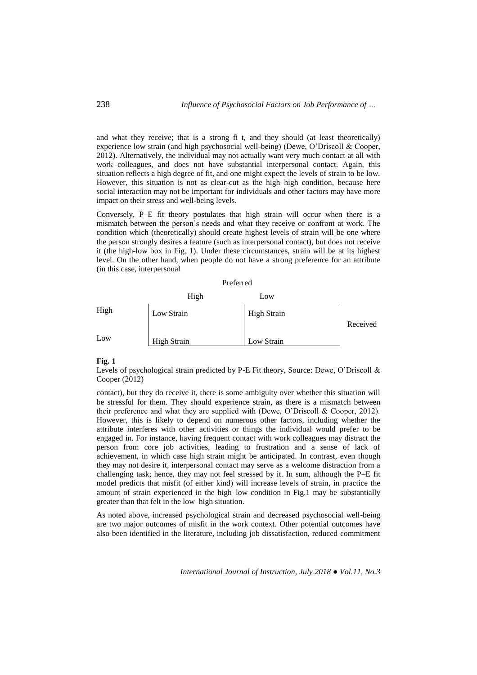and what they receive; that is a strong fi t, and they should (at least theoretically) experience low strain (and high psychosocial well-being) (Dewe, O'Driscoll & Cooper, 2012). Alternatively, the individual may not actually want very much contact at all with work colleagues, and does not have substantial interpersonal contact. Again, this situation reflects a high degree of fit, and one might expect the levels of strain to be low. However, this situation is not as clear-cut as the high–high condition, because here social interaction may not be important for individuals and other factors may have more impact on their stress and well-being levels.

Conversely, P–E fit theory postulates that high strain will occur when there is a mismatch between the person's needs and what they receive or confront at work. The condition which (theoretically) should create highest levels of strain will be one where the person strongly desires a feature (such as interpersonal contact), but does not receive it (the high-low box in Fig. 1). Under these circumstances, strain will be at its highest level. On the other hand, when people do not have a strong preference for an attribute (in this case, interpersonal

|      | High               | Low                |          |
|------|--------------------|--------------------|----------|
| High | Low Strain         | <b>High Strain</b> |          |
|      |                    |                    | Received |
| Low  | <b>High Strain</b> | Low Strain         |          |

#### **Fig. 1**

Levels of psychological strain predicted by P-E Fit theory, Source: Dewe, O'Driscoll & Cooper (2012)

contact), but they do receive it, there is some ambiguity over whether this situation will be stressful for them. They should experience strain, as there is a mismatch between their preference and what they are supplied with (Dewe, O'Driscoll & Cooper, 2012). However, this is likely to depend on numerous other factors, including whether the attribute interferes with other activities or things the individual would prefer to be engaged in. For instance, having frequent contact with work colleagues may distract the person from core job activities, leading to frustration and a sense of lack of achievement, in which case high strain might be anticipated. In contrast, even though they may not desire it, interpersonal contact may serve as a welcome distraction from a challenging task; hence, they may not feel stressed by it. In sum, although the P–E fit model predicts that misfit (of either kind) will increase levels of strain, in practice the amount of strain experienced in the high–low condition in Fig.1 may be substantially greater than that felt in the low–high situation.

As noted above, increased psychological strain and decreased psychosocial well-being are two major outcomes of misfit in the work context. Other potential outcomes have also been identified in the literature, including job dissatisfaction, reduced commitment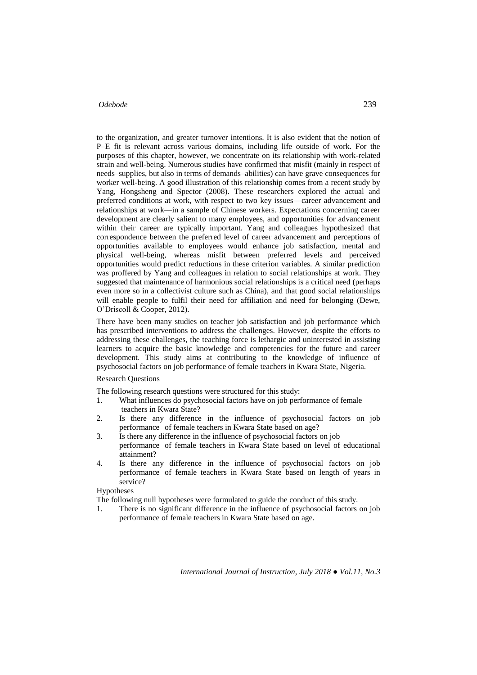to the organization, and greater turnover intentions. It is also evident that the notion of P–E fit is relevant across various domains, including life outside of work. For the purposes of this chapter, however, we concentrate on its relationship with work-related strain and well-being. Numerous studies have confirmed that misfit (mainly in respect of needs–supplies, but also in terms of demands–abilities) can have grave consequences for worker well-being. A good illustration of this relationship comes from a recent study by Yang, Hongsheng and Spector (2008). These researchers explored the actual and preferred conditions at work, with respect to two key issues—career advancement and relationships at work—in a sample of Chinese workers. Expectations concerning career development are clearly salient to many employees, and opportunities for advancement within their career are typically important. Yang and colleagues hypothesized that correspondence between the preferred level of career advancement and perceptions of opportunities available to employees would enhance job satisfaction, mental and physical well-being, whereas misfit between preferred levels and perceived opportunities would predict reductions in these criterion variables. A similar prediction was proffered by Yang and colleagues in relation to social relationships at work. They suggested that maintenance of harmonious social relationships is a critical need (perhaps even more so in a collectivist culture such as China), and that good social relationships will enable people to fulfil their need for affiliation and need for belonging (Dewe, O'Driscoll & Cooper, 2012).

There have been many studies on teacher job satisfaction and job performance which has prescribed interventions to address the challenges. However, despite the efforts to addressing these challenges, the teaching force is lethargic and uninterested in assisting learners to acquire the basic knowledge and competencies for the future and career development. This study aims at contributing to the knowledge of influence of psychosocial factors on job performance of female teachers in Kwara State, Nigeria.

Research Questions

The following research questions were structured for this study:

- 1. What influences do psychosocial factors have on job performance of female teachers in Kwara State?
- 2. Is there any difference in the influence of psychosocial factors on job performance of female teachers in Kwara State based on age?
- 3. Is there any difference in the influence of psychosocial factors on job performance of female teachers in Kwara State based on level of educational attainment?
- 4. Is there any difference in the influence of psychosocial factors on job performance of female teachers in Kwara State based on length of years in service?

#### Hypotheses

The following null hypotheses were formulated to guide the conduct of this study.

1. There is no significant difference in the influence of psychosocial factors on job performance of female teachers in Kwara State based on age.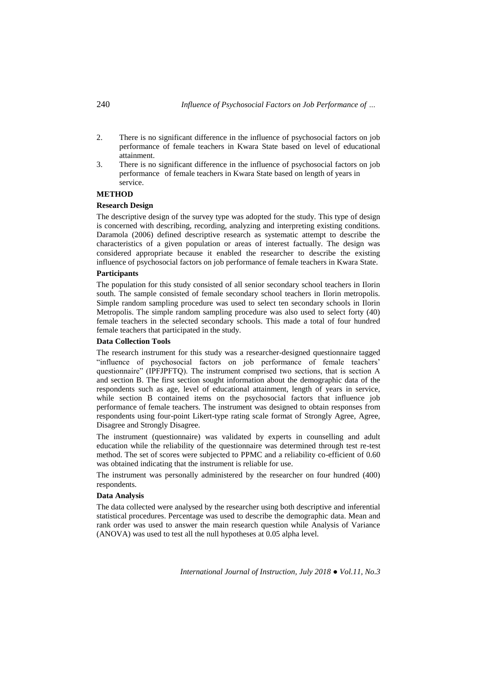- 2. There is no significant difference in the influence of psychosocial factors on job performance of female teachers in Kwara State based on level of educational attainment.
- 3. There is no significant difference in the influence of psychosocial factors on job performance of female teachers in Kwara State based on length of years in service.

#### **METHOD**

#### **Research Design**

The descriptive design of the survey type was adopted for the study. This type of design is concerned with describing, recording, analyzing and interpreting existing conditions. Daramola (2006) defined descriptive research as systematic attempt to describe the characteristics of a given population or areas of interest factually. The design was considered appropriate because it enabled the researcher to describe the existing influence of psychosocial factors on job performance of female teachers in Kwara State.

#### **Participants**

The population for this study consisted of all senior secondary school teachers in Ilorin south. The sample consisted of female secondary school teachers in Ilorin metropolis. Simple random sampling procedure was used to select ten secondary schools in Ilorin Metropolis. The simple random sampling procedure was also used to select forty (40) female teachers in the selected secondary schools. This made a total of four hundred female teachers that participated in the study.

#### **Data Collection Tools**

The research instrument for this study was a researcher-designed questionnaire tagged "influence of psychosocial factors on job performance of female teachers' questionnaire" (IPFJPFTQ). The instrument comprised two sections, that is section A and section B. The first section sought information about the demographic data of the respondents such as age, level of educational attainment, length of years in service, while section B contained items on the psychosocial factors that influence job performance of female teachers. The instrument was designed to obtain responses from respondents using four-point Likert-type rating scale format of Strongly Agree, Agree, Disagree and Strongly Disagree.

The instrument (questionnaire) was validated by experts in counselling and adult education while the reliability of the questionnaire was determined through test re-test method. The set of scores were subjected to PPMC and a reliability co-efficient of 0.60 was obtained indicating that the instrument is reliable for use.

The instrument was personally administered by the researcher on four hundred (400) respondents.

# **Data Analysis**

The data collected were analysed by the researcher using both descriptive and inferential statistical procedures. Percentage was used to describe the demographic data. Mean and rank order was used to answer the main research question while Analysis of Variance (ANOVA) was used to test all the null hypotheses at 0.05 alpha level.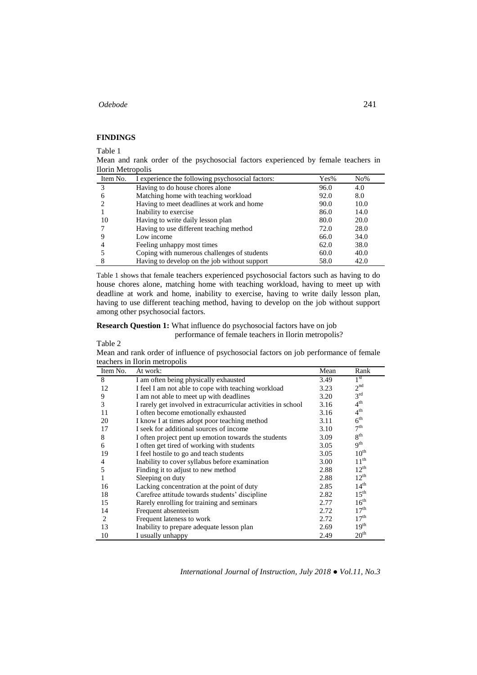#### **FINDINGS**

Table 1

Mean and rank order of the psychosocial factors experienced by female teachers in Ilorin Metropolis

| Item No. | I experience the following psychosocial factors: | Yes% | $No\%$ |
|----------|--------------------------------------------------|------|--------|
| 3        | Having to do house chores alone                  | 96.0 | 4.0    |
| 6        | Matching home with teaching workload             | 92.0 | 8.0    |
|          | Having to meet deadlines at work and home        | 90.0 | 10.0   |
|          | Inability to exercise                            | 86.0 | 14.0   |
| 10       | Having to write daily lesson plan                | 80.0 | 20.0   |
|          | Having to use different teaching method          | 72.0 | 28.0   |
|          | Low income                                       | 66.0 | 34.0   |
|          | Feeling unhappy most times                       | 62.0 | 38.0   |
|          | Coping with numerous challenges of students      | 60.0 | 40.0   |
|          | Having to develop on the job without support     | 58.0 | 42.0   |

Table 1 shows that female teachers experienced psychosocial factors such as having to do house chores alone, matching home with teaching workload, having to meet up with deadline at work and home, inability to exercise, having to write daily lesson plan, having to use different teaching method, having to develop on the job without support among other psychosocial factors.

**Research Question 1:** What influence do psychosocial factors have on job performance of female teachers in Ilorin metropolis?

Table 2

Mean and rank order of influence of psychosocial factors on job performance of female teachers in Ilorin metropolis

| Item No. | reachers in home menopons<br>At work:                         | Mean |                  |
|----------|---------------------------------------------------------------|------|------------------|
|          |                                                               |      | Rank             |
| 8        | I am often being physically exhausted                         | 3.49 | 1 <sup>st</sup>  |
| 12       | I feel I am not able to cope with teaching workload           | 3.23 | 2 <sup>nd</sup>  |
| 9        | I am not able to meet up with deadlines                       | 3.20 | 3 <sup>rd</sup>  |
| 3        | I rarely get involved in extracurricular activities in school | 3.16 | $4^{\text{th}}$  |
| 11       | I often become emotionally exhausted                          | 3.16 | 4 <sup>th</sup>  |
| 20       | I know I at times adopt poor teaching method                  | 3.11 | $6^{\text{th}}$  |
| 17       | I seek for additional sources of income                       | 3.10 | 7 <sup>th</sup>  |
| 8        | I often project pent up emotion towards the students          | 3.09 | 8 <sup>th</sup>  |
| 6        | I often get tired of working with students                    | 3.05 | 9 <sup>th</sup>  |
| 19       | I feel hostile to go and teach students                       | 3.05 | $10^{\text{th}}$ |
| 4        | Inability to cover syllabus before examination                | 3.00 | $11^{th}$        |
| 5        | Finding it to adjust to new method                            | 2.88 | $12^{th}$        |
|          | Sleeping on duty                                              | 2.88 | $12^{th}$        |
| 16       | Lacking concentration at the point of duty                    | 2.85 | 14 <sup>th</sup> |
| 18       | Carefree attitude towards students' discipline                | 2.82 | $15^{\text{th}}$ |
| 15       | Rarely enrolling for training and seminars                    | 2.77 | $16^{\text{th}}$ |
| 14       | Frequent absenteeism                                          | 2.72 | 17 <sup>th</sup> |
| 2        | Frequent lateness to work                                     | 2.72 | 17 <sup>th</sup> |
| 13       | Inability to prepare adequate lesson plan                     | 2.69 | 19 <sup>th</sup> |
| 10       | I usually unhappy                                             | 2.49 | 20 <sup>th</sup> |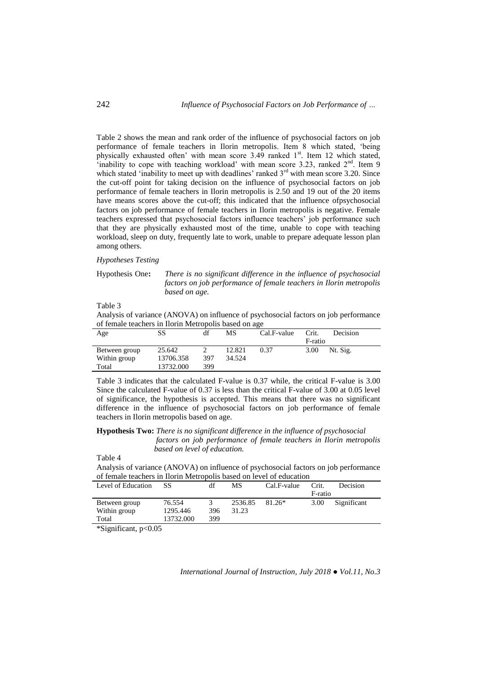Table 2 shows the mean and rank order of the influence of psychosocial factors on job performance of female teachers in Ilorin metropolis. Item 8 which stated, 'being physically exhausted often' with mean score 3.49 ranked  $1<sup>st</sup>$ . Item 12 which stated, 'inability to cope with teaching workload' with mean score 3.23, ranked  $2<sup>nd</sup>$ . Item 9 which stated 'inability to meet up with deadlines' ranked  $3<sup>rd</sup>$  with mean score 3.20. Since the cut-off point for taking decision on the influence of psychosocial factors on job performance of female teachers in Ilorin metropolis is 2.50 and 19 out of the 20 items have means scores above the cut-off; this indicated that the influence ofpsychosocial factors on job performance of female teachers in Ilorin metropolis is negative. Female teachers expressed that psychosocial factors influence teachers' job performance such that they are physically exhausted most of the time, unable to cope with teaching workload, sleep on duty, frequently late to work, unable to prepare adequate lesson plan among others.

## *Hypotheses Testing*

Hypothesis One**:** *There is no significant difference in the influence of psychosocial factors on job performance of female teachers in Ilorin metropolis based on age.*

Table 3

Analysis of variance (ANOVA) on influence of psychosocial factors on job performance of female teachers in Ilorin Metropolis based on age

| Age           | SS        | df  | МS     | Cal.F-value | Crit.   | Decision |
|---------------|-----------|-----|--------|-------------|---------|----------|
|               |           |     |        |             | F-ratio |          |
| Between group | 25.642    |     | 12.821 | 0.37        | 3.00    | Nt. Sig. |
| Within group  | 13706.358 | 397 | 34.524 |             |         |          |
| Total         | 13732.000 | 399 |        |             |         |          |

Table 3 indicates that the calculated F-value is 0.37 while, the critical F-value is 3.00 Since the calculated F-value of 0.37 is less than the critical F-value of 3.00 at 0.05 level of significance, the hypothesis is accepted. This means that there was no significant difference in the influence of psychosocial factors on job performance of female teachers in Ilorin metropolis based on age.

**Hypothesis Two:** *There is no significant difference in the influence of psychosocial factors on job performance of female teachers in Ilorin metropolis based on level of education.*

Table 4

|                                                                     | Analysis of variance (ANOVA) on influence of psychosocial factors on job performance |  |
|---------------------------------------------------------------------|--------------------------------------------------------------------------------------|--|
| of female teachers in Ilorin Metropolis based on level of education |                                                                                      |  |

| Level of Education | SS        | df  | МS      | Cal.F-value | Crit.   | Decision    |
|--------------------|-----------|-----|---------|-------------|---------|-------------|
|                    |           |     |         |             | F-ratio |             |
| Between group      | 76.554    |     | 2536.85 | $81.26*$    | 3.00    | Significant |
| Within group       | 1295.446  | 396 | 31.23   |             |         |             |
| Total              | 13732.000 | 399 |         |             |         |             |

\*Significant, p<0.05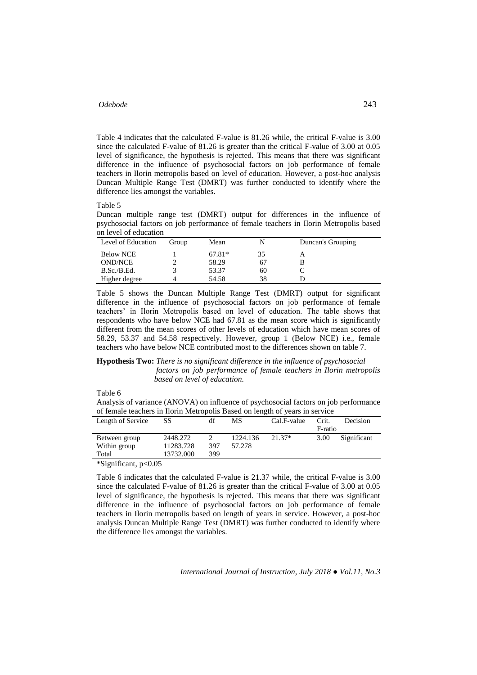Table 4 indicates that the calculated F-value is 81.26 while, the critical F-value is 3.00 since the calculated F-value of 81.26 is greater than the critical F-value of 3.00 at 0.05 level of significance, the hypothesis is rejected. This means that there was significant difference in the influence of psychosocial factors on job performance of female teachers in Ilorin metropolis based on level of education. However, a post-hoc analysis Duncan Multiple Range Test (DMRT) was further conducted to identify where the difference lies amongst the variables.

Table 5

Duncan multiple range test (DMRT) output for differences in the influence of psychosocial factors on job performance of female teachers in Ilorin Metropolis based on level of education

| Level of Education | Group | Mean     |    | Duncan's Grouping |
|--------------------|-------|----------|----|-------------------|
| <b>Below NCE</b>   |       | $67.81*$ |    |                   |
| OND/NCE            |       | 58.29    | 67 |                   |
| B.Sc./B.Ed.        |       | 53.37    | 60 |                   |
| Higher degree      |       | 54.58    | 38 |                   |

Table 5 shows the Duncan Multiple Range Test (DMRT) output for significant difference in the influence of psychosocial factors on job performance of female teachers' in Ilorin Metropolis based on level of education. The table shows that respondents who have below NCE had 67.81 as the mean score which is significantly different from the mean scores of other levels of education which have mean scores of 58.29, 53.37 and 54.58 respectively. However, group 1 (Below NCE) i.e., female teachers who have below NCE contributed most to the differences shown on table 7.

#### **Hypothesis Two:** *There is no significant difference in the influence of psychosocial factors on job performance of female teachers in Ilorin metropolis based on level of education.*

Table 6

Analysis of variance (ANOVA) on influence of psychosocial factors on job performance of female teachers in Ilorin Metropolis Based on length of years in service

| Length of Service                                 | SS        | df  | MS       | Cal.F-value | Crit.   | Decision    |
|---------------------------------------------------|-----------|-----|----------|-------------|---------|-------------|
|                                                   |           |     |          |             | F-ratio |             |
| Between group                                     | 2448.272  |     | 1224.136 | $21.37*$    | 3.00    | Significant |
| Within group                                      | 11283.728 | 397 | 57.278   |             |         |             |
| Total                                             | 13732.000 | 399 |          |             |         |             |
| $\star$ $\sim$ $\sim$ $\sim$ $\sim$ $\sim$ $\sim$ |           |     |          |             |         |             |

\*Significant, p<0.05

Table 6 indicates that the calculated F-value is 21.37 while, the critical F-value is 3.00 since the calculated F-value of 81.26 is greater than the critical F-value of 3.00 at 0.05 level of significance, the hypothesis is rejected. This means that there was significant difference in the influence of psychosocial factors on job performance of female teachers in Ilorin metropolis based on length of years in service. However, a post-hoc analysis Duncan Multiple Range Test (DMRT) was further conducted to identify where the difference lies amongst the variables.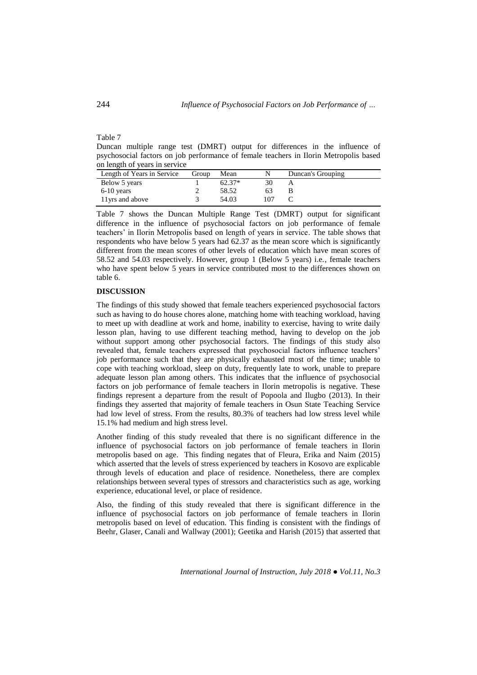# Table 7

Duncan multiple range test (DMRT) output for differences in the influence of psychosocial factors on job performance of female teachers in Ilorin Metropolis based on length of years in service

| Length of Years in Service | Group | Mean     |     | Duncan's Grouping |
|----------------------------|-------|----------|-----|-------------------|
| Below 5 years              |       | $62.37*$ |     |                   |
| $6-10$ years               |       | 58.52    | 63  |                   |
| 11 yrs and above           |       | 54.03    | 107 |                   |

Table 7 shows the Duncan Multiple Range Test (DMRT) output for significant difference in the influence of psychosocial factors on job performance of female teachers' in Ilorin Metropolis based on length of years in service. The table shows that respondents who have below 5 years had 62.37 as the mean score which is significantly different from the mean scores of other levels of education which have mean scores of 58.52 and 54.03 respectively. However, group 1 (Below 5 years) i.e., female teachers who have spent below 5 years in service contributed most to the differences shown on table 6.

#### **DISCUSSION**

The findings of this study showed that female teachers experienced psychosocial factors such as having to do house chores alone, matching home with teaching workload, having to meet up with deadline at work and home, inability to exercise, having to write daily lesson plan, having to use different teaching method, having to develop on the job without support among other psychosocial factors. The findings of this study also revealed that, female teachers expressed that psychosocial factors influence teachers' job performance such that they are physically exhausted most of the time; unable to cope with teaching workload, sleep on duty, frequently late to work, unable to prepare adequate lesson plan among others. This indicates that the influence of psychosocial factors on job performance of female teachers in Ilorin metropolis is negative. These findings represent a departure from the result of Popoola and Ilugbo (2013). In their findings they asserted that majority of female teachers in Osun State Teaching Service had low level of stress. From the results, 80.3% of teachers had low stress level while 15.1% had medium and high stress level.

Another finding of this study revealed that there is no significant difference in the influence of psychosocial factors on job performance of female teachers in Ilorin metropolis based on age. This finding negates that of Fleura, Erika and Naim (2015) which asserted that the levels of stress experienced by teachers in Kosovo are explicable through levels of education and place of residence. Nonetheless, there are complex relationships between several types of stressors and characteristics such as age, working experience, educational level, or place of residence.

Also, the finding of this study revealed that there is significant difference in the influence of psychosocial factors on job performance of female teachers in Ilorin metropolis based on level of education. This finding is consistent with the findings of Beehr, Glaser, Canali and Wallway (2001); Geetika and Harish (2015) that asserted that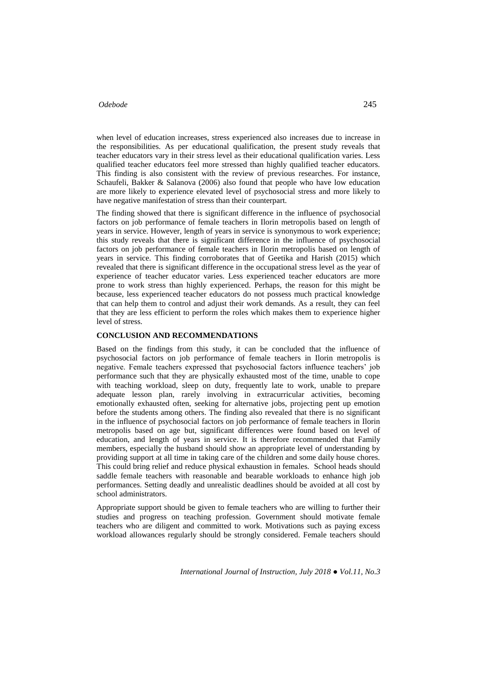when level of education increases, stress experienced also increases due to increase in the responsibilities. As per educational qualification, the present study reveals that teacher educators vary in their stress level as their educational qualification varies. Less qualified teacher educators feel more stressed than highly qualified teacher educators. This finding is also consistent with the review of previous researches. For instance, Schaufeli, Bakker & Salanova (2006) also found that people who have low education are more likely to experience elevated level of psychosocial stress and more likely to have negative manifestation of stress than their counterpart.

The finding showed that there is significant difference in the influence of psychosocial factors on job performance of female teachers in Ilorin metropolis based on length of years in service. However, length of years in service is synonymous to work experience; this study reveals that there is significant difference in the influence of psychosocial factors on job performance of female teachers in Ilorin metropolis based on length of years in service. This finding corroborates that of Geetika and Harish (2015) which revealed that there is significant difference in the occupational stress level as the year of experience of teacher educator varies. Less experienced teacher educators are more prone to work stress than highly experienced. Perhaps, the reason for this might be because, less experienced teacher educators do not possess much practical knowledge that can help them to control and adjust their work demands. As a result, they can feel that they are less efficient to perform the roles which makes them to experience higher level of stress.

#### **CONCLUSION AND RECOMMENDATIONS**

Based on the findings from this study, it can be concluded that the influence of psychosocial factors on job performance of female teachers in Ilorin metropolis is negative. Female teachers expressed that psychosocial factors influence teachers' job performance such that they are physically exhausted most of the time, unable to cope with teaching workload, sleep on duty, frequently late to work, unable to prepare adequate lesson plan, rarely involving in extracurricular activities, becoming emotionally exhausted often, seeking for alternative jobs, projecting pent up emotion before the students among others. The finding also revealed that there is no significant in the influence of psychosocial factors on job performance of female teachers in Ilorin metropolis based on age but, significant differences were found based on level of education, and length of years in service. It is therefore recommended that Family members, especially the husband should show an appropriate level of understanding by providing support at all time in taking care of the children and some daily house chores. This could bring relief and reduce physical exhaustion in females. School heads should saddle female teachers with reasonable and bearable workloads to enhance high job performances. Setting deadly and unrealistic deadlines should be avoided at all cost by school administrators.

Appropriate support should be given to female teachers who are willing to further their studies and progress on teaching profession. Government should motivate female teachers who are diligent and committed to work. Motivations such as paying excess workload allowances regularly should be strongly considered. Female teachers should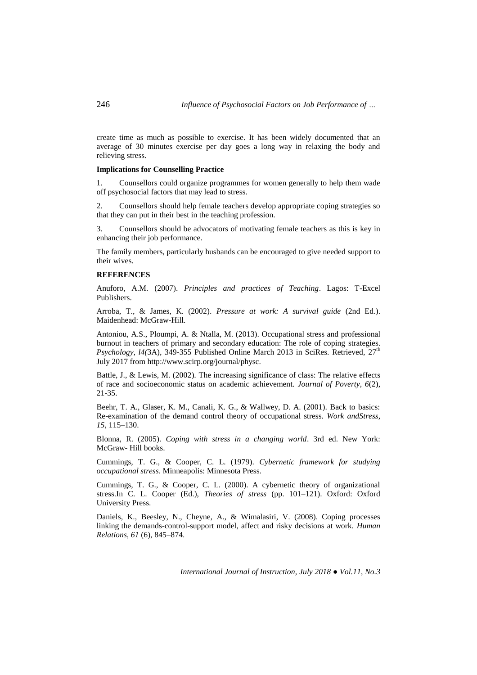create time as much as possible to exercise. It has been widely documented that an average of 30 minutes exercise per day goes a long way in relaxing the body and relieving stress.

#### **Implications for Counselling Practice**

1. Counsellors could organize programmes for women generally to help them wade off psychosocial factors that may lead to stress.

2. Counsellors should help female teachers develop appropriate coping strategies so that they can put in their best in the teaching profession.

3. Counsellors should be advocators of motivating female teachers as this is key in enhancing their job performance.

The family members, particularly husbands can be encouraged to give needed support to their wives.

#### **REFERENCES**

Anuforo, A.M. (2007). *Principles and practices of Teaching*. Lagos: T-Excel Publishers.

Arroba, T., & James, K. (2002). *Pressure at work: A survival guide* (2nd Ed.). Maidenhead: McGraw-Hill.

Antoniou, A.S., Ploumpi, A. & Ntalla, M. (2013). Occupational stress and professional burnout in teachers of primary and secondary education: The role of coping strategies. *Psychology, 14*(3A), 349-355 Published Online March 2013 in SciRes. Retrieved, 27<sup>th</sup> July 2017 from http://www.scirp.org/journal/physc.

Battle, J., & Lewis, M. (2002)*.* The increasing significance of class: The relative effects of race and socioeconomic status on academic achievement. *Journal of Poverty*, *6*(2), 21-35.

Beehr, T. A., Glaser, K. M., Canali, K. G., & Wallwey, D. A. (2001). Back to basics: Re-examination of the demand control theory of occupational stress. *Work andStress, 15,* 115–130.

Blonna, R. (2005). *Coping with stress in a changing world*. 3rd ed. New York: McGraw- Hill books.

Cummings, T. G., & Cooper, C. L. (1979). *Cybernetic framework for studying occupational stress*. Minneapolis: Minnesota Press.

Cummings, T. G., & Cooper, C. L. (2000). A cybernetic theory of organizational stress.In C. L. Cooper (Ed.), *Theories of stress* (pp. 101–121). Oxford: Oxford University Press.

Daniels, K., Beesley, N., Cheyne, A., & Wimalasiri, V. (2008). Coping processes linking the demands-control-support model, affect and risky decisions at work. *Human Relations, 61* (6), 845–874.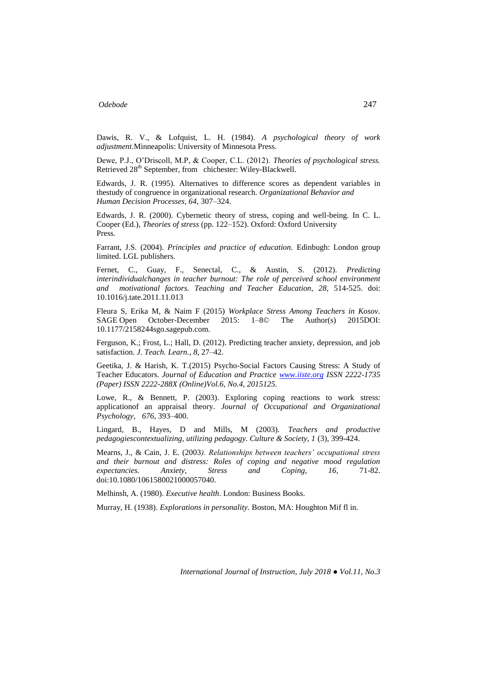Dawis, R. V., & Lofquist, L. H. (1984). *A psychological theory of work adjustment*.Minneapolis: University of Minnesota Press.

Dewe, P.J., O'Driscoll, M.P, & Cooper, C.L. (2012). *Theories of psychological stress.*  Retrieved 28<sup>th</sup> September, from chichester: Wiley-Blackwell.

Edwards, J. R. (1995). Alternatives to difference scores as dependent variables in thestudy of congruence in organizational research. *Organizational Behavior and Human Decision Processes, 64,* 307–324.

Edwards, J. R. (2000). Cybernetic theory of stress, coping and well-being. In C. L. Cooper (Ed.), *Theories of stress* (pp. 122–152). Oxford: Oxford University Press.

Farrant, J.S. (2004). *Principles and practice of education.* Edinbugh: London group limited. LGL publishers.

Fernet, C., Guay, F., Senectal, C., & Austin, S. (2012). *Predicting interindividualchanges in teacher burnout: The role of perceived school environment and motivational factors. Teaching and Teacher Education, 28,* 514-525. doi: 10.1016/j.tate.2011.11.013

Fleura S, Erika M, & Naim F (2015) *Workplace Stress Among Teachers in Kosov.* SAGE Open October-December 2015: 1–8© The Author(s) 2015DOI: 10.1177/2158244sgo.sagepub.com.

Ferguson, K.; Frost, L.; Hall, D. (2012). Predicting teacher anxiety, depression, and job satisfaction. *J. Teach. Learn.*, *8*, 27–42.

Geetika, J. & Harish, K. T.(2015) Psycho-Social Factors Causing Stress: A Study of Teacher Educators. *Journal of Education and Practice [www.iiste.org](http://www.iiste.org/) ISSN 2222-1735 (Paper) ISSN 2222-288X (Online)Vol.6, No.4, 2015125.*

Lowe, R., & Bennett, P. (2003). Exploring coping reactions to work stress: applicationof an appraisal theory. *Journal of Occupational and Organizational Psychology, 676*, 393–400.

Lingard, B., Hayes, D and Mills, M (2003). *Teachers and productive pedagogiescontextualizing, utilizing pedagogy. Culture & Society, 1* (3), 399-424.

Mearns, J., & Cain, J. E. (2003*). Relationships between teachers' occupational stress and their burnout and distress: Roles of coping and negative mood regulation expectancies. Anxiety, Stress and Coping, 16,* 71-82. doi:10.1080/1061580021000057040.

Melhinsh, A. (1980). *Executive health*. London: Business Books.

Murray, H. (1938). *Explorations in personality.* Boston, MA: Houghton Mif fl in.